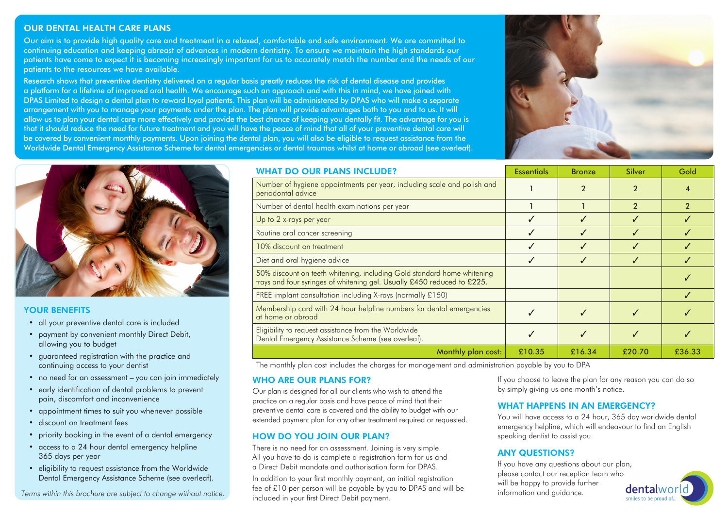# OUR DENTAL HEALTH CARE PLANS

Our aim is to provide high quality care and treatment in a relaxed, comfortable and safe environment. We are committed to continuing education and keeping abreast of advances in modern dentistry. To ensure we maintain the high standards our patients have come to expect it is becoming increasingly important for us to accurately match the number and the needs of our patients to the resources we have available.

Research shows that preventive dentistry delivered on a regular basis greatly reduces the risk of dental disease and provides a platform for a lifetime of improved oral health. We encourage such an approach and with this in mind, we have joined with DPAS Limited to design a dental plan to reward loyal patients. This plan will be administered by DPAS who will make a separate arrangement with you to manage your payments under the plan. The plan will provide advantages both to you and to us. It will allow us to plan your dental care more effectively and provide the best chance of keeping you dentally fit. The advantage for you is that it should reduce the need for future treatment and you will have the peace of mind that all of your preventive dental care will be covered by convenient monthly payments. Upon joining the dental plan, you will also be eligible to request assistance from the Worldwide Dental Emergency Assistance Scheme for dental emergencies or dental traumas whilst at home or abroad (see overleaf).





# YOUR BENEFITS

- all your preventive dental care is included
- payment by convenient monthly Direct Debit, allowing you to budget
- guaranteed registration with the practice and continuing access to your dentist
- no need for an assessment you can join immediately
- early identification of dental problems to prevent pain, discomfort and inconvenience
- appointment times to suit you whenever possible
- discount on treatment fees
- priority booking in the event of a dental emergency
- access to a 24 hour dental emergency helpline 365 days per year
- eligibility to request assistance from the Worldwide Dental Emergency Assistance Scheme (see overleaf).

| <b>WHAT DO OUR PLANS INCLUDE?</b>                                                                                                                  | <b>Essentials</b> | <b>Bronze</b>  | Silver         | Gold   |
|----------------------------------------------------------------------------------------------------------------------------------------------------|-------------------|----------------|----------------|--------|
| Number of hygiene appointments per year, including scale and polish and<br>periodontal advice                                                      |                   | $\overline{2}$ | $\overline{2}$ |        |
| Number of dental health examinations per year                                                                                                      |                   |                | $\overline{2}$ |        |
| Up to 2 x-rays per year                                                                                                                            |                   |                |                |        |
| Routine oral cancer screening                                                                                                                      |                   |                | ✓              |        |
| 10% discount on treatment                                                                                                                          |                   |                |                |        |
| Diet and oral hygiene advice                                                                                                                       |                   |                |                |        |
| 50% discount on teeth whitening, including Gold standard home whitening<br>trays and four syringes of whitening gel. Usually £450 reduced to £225. |                   |                |                |        |
| FREE implant consultation including X-rays (normally £150)                                                                                         |                   |                |                |        |
| Membership card with 24 hour helpline numbers for dental emergencies<br>at home or abroad                                                          |                   |                |                |        |
| Eligibility to request assistance from the Worldwide<br>Dental Emergency Assistance Scheme (see overleaf).                                         |                   |                |                |        |
| Monthly plan cost:                                                                                                                                 | £10.35            | £16.34         | £20.70         | £36.33 |

The monthly plan cost includes the charges for management and administration payable by you to DPA

# WHO ARE OUR PLANS FOR?

Our plan is designed for all our clients who wish to attend the practice on a regular basis and have peace of mind that their preventive dental care is covered and the ability to budget with our extended payment plan for any other treatment required or requested.

# HOW DO YOU JOIN OUR PLAN?

There is no need for an assessment. Joining is very simple. All you have to do is complete a reaistration form for us and a Direct Debit mandate and authorisation form for DPAS.

In addition to your first monthly payment, an initial registration fee of £10 per person will be payable by you to DPAS and will be included in your first Direct Debit payment. Tee or  $\pm 10$  per person will be payable by you to DPAS and will be<br>Terms within this brochure are subject to change without notice.

If you choose to leave the plan for any reason you can do so by simply giving us one month's notice.

# WHAT HAPPENS IN AN EMERGENCY?

You will have access to a 24 hour, 365 day worldwide dental emergency helpline, which will endeavour to find an English speaking dentist to assist you.

# ANY QUESTIONS?

If you have any questions about our plan, please contact our reception team who will be happy to provide further